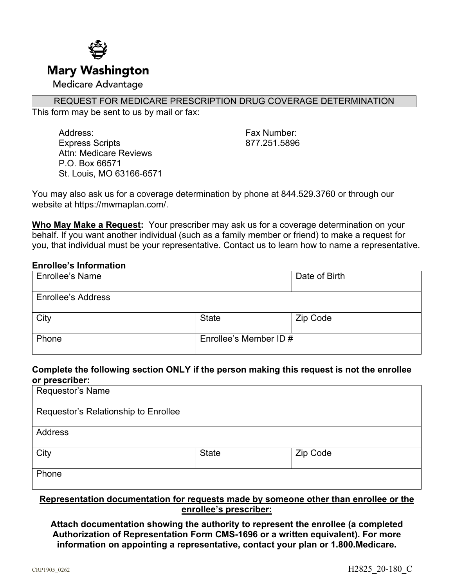

### REQUEST FOR MEDICARE PRESCRIPTION DRUG COVERAGE DETERMINATION

This form may be sent to us by mail or fax:

Address: Fax Number: Express Scripts 877.251.5896 Attn: Medicare Reviews P.O. Box 66571 St. Louis, MO 63166-6571

You may also ask us for a coverage determination by phone at 844.529.3760 or through our website at https://mwmaplan.com/.

**Who May Make a Request:** Your prescriber may ask us for a coverage determination on your behalf. If you want another individual (such as a family member or friend) to make a request for you, that individual must be your representative. Contact us to learn how to name a representative.

#### **Enrollee's Information**

| Enrollee's Name           |                        | Date of Birth |
|---------------------------|------------------------|---------------|
| <b>Enrollee's Address</b> |                        |               |
| City                      | <b>State</b>           | Zip Code      |
| Phone                     | Enrollee's Member ID # |               |

## **Complete the following section ONLY if the person making this request is not the enrollee or prescriber:**

| Requestor's Name                     |              |          |  |
|--------------------------------------|--------------|----------|--|
| Requestor's Relationship to Enrollee |              |          |  |
| <b>Address</b>                       |              |          |  |
| City                                 | <b>State</b> | Zip Code |  |
| Phone                                |              |          |  |

## **Representation documentation for requests made by someone other than enrollee or the enrollee's prescriber:**

**Attach documentation showing the authority to represent the enrollee (a completed Authorization of Representation Form CMS-1696 or a written equivalent). For more information on appointing a representative, contact your plan or 1.800.Medicare.**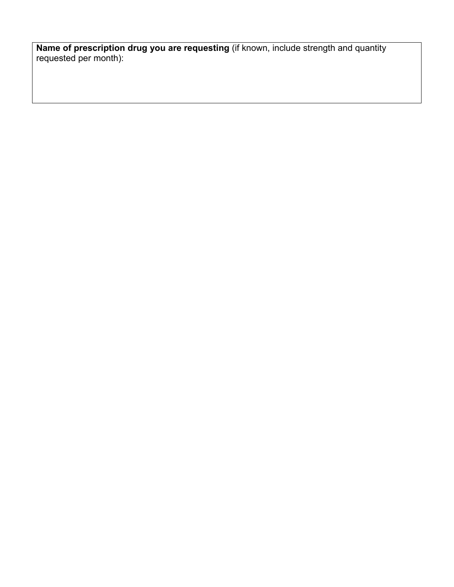**Name of prescription drug you are requesting** (if known, include strength and quantity requested per month):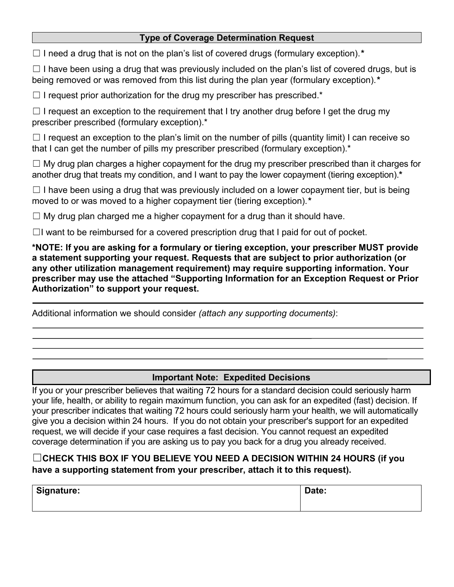## **Type of Coverage Determination Request**

☐ I need a drug that is not on the plan's list of covered drugs (formulary exception).*\**

 $\Box$  I have been using a drug that was previously included on the plan's list of covered drugs, but is being removed or was removed from this list during the plan year (formulary exception).*\**

 $\Box$  I request prior authorization for the drug my prescriber has prescribed.\*

 $\Box$  I request an exception to the requirement that I try another drug before I get the drug my prescriber prescribed (formulary exception).\*

 $\Box$  I request an exception to the plan's limit on the number of pills (quantity limit) I can receive so that I can get the number of pills my prescriber prescribed (formulary exception).<sup>\*</sup>

 $\Box$  My drug plan charges a higher copayment for the drug my prescriber prescribed than it charges for another drug that treats my condition, and I want to pay the lower copayment (tiering exception).**\***

 $\Box$  I have been using a drug that was previously included on a lower copayment tier, but is being moved to or was moved to a higher copayment tier (tiering exception).*\**

 $\Box$  My drug plan charged me a higher copayment for a drug than it should have.

 $\Box$ I want to be reimbursed for a covered prescription drug that I paid for out of pocket.

**\*NOTE: If you are asking for a formulary or tiering exception, your prescriber MUST provide a statement supporting your request. Requests that are subject to prior authorization (or any other utilization management requirement) may require supporting information. Your prescriber may use the attached "Supporting Information for an Exception Request or Prior Authorization" to support your request.**

Additional information we should consider *(attach any supporting documents)*:

# **Important Note: Expedited Decisions**

If you or your prescriber believes that waiting 72 hours for a standard decision could seriously harm your life, health, or ability to regain maximum function, you can ask for an expedited (fast) decision. If your prescriber indicates that waiting 72 hours could seriously harm your health, we will automatically give you a decision within 24 hours. If you do not obtain your prescriber's support for an expedited request, we will decide if your case requires a fast decision. You cannot request an expedited coverage determination if you are asking us to pay you back for a drug you already received.

# ☐**CHECK THIS BOX IF YOU BELIEVE YOU NEED A DECISION WITHIN 24 HOURS (if you have a supporting statement from your prescriber, attach it to this request).**

| <b>Signature:</b> | Date: |
|-------------------|-------|
|                   |       |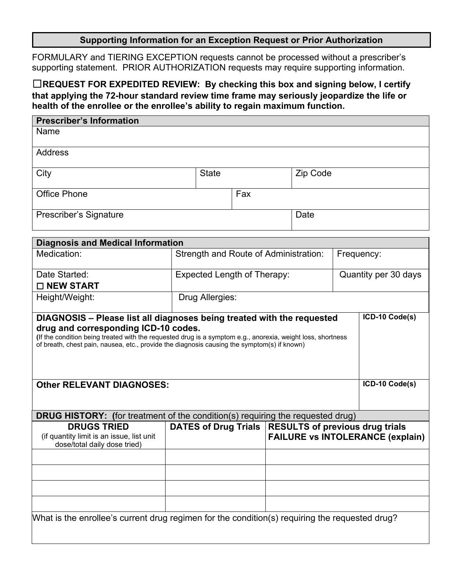## **Supporting Information for an Exception Request or Prior Authorization**

FORMULARY and TIERING EXCEPTION requests cannot be processed without a prescriber's supporting statement. PRIOR AUTHORIZATION requests may require supporting information.

☐**REQUEST FOR EXPEDITED REVIEW: By checking this box and signing below, I certify that applying the 72-hour standard review time frame may seriously jeopardize the life or health of the enrollee or the enrollee's ability to regain maximum function.**

| <b>Prescriber's Information</b>                                                                                                                                                                                                                                                                                              |  |                                                     |     |  |                |  |                                                                                                   |
|------------------------------------------------------------------------------------------------------------------------------------------------------------------------------------------------------------------------------------------------------------------------------------------------------------------------------|--|-----------------------------------------------------|-----|--|----------------|--|---------------------------------------------------------------------------------------------------|
| Name                                                                                                                                                                                                                                                                                                                         |  |                                                     |     |  |                |  |                                                                                                   |
| <b>Address</b>                                                                                                                                                                                                                                                                                                               |  |                                                     |     |  |                |  |                                                                                                   |
| City                                                                                                                                                                                                                                                                                                                         |  | <b>State</b>                                        |     |  | Zip Code       |  |                                                                                                   |
| <b>Office Phone</b>                                                                                                                                                                                                                                                                                                          |  |                                                     | Fax |  |                |  |                                                                                                   |
| Prescriber's Signature                                                                                                                                                                                                                                                                                                       |  |                                                     |     |  | Date           |  |                                                                                                   |
| <b>Diagnosis and Medical Information</b>                                                                                                                                                                                                                                                                                     |  |                                                     |     |  |                |  |                                                                                                   |
| Medication:                                                                                                                                                                                                                                                                                                                  |  | Strength and Route of Administration:               |     |  |                |  | Frequency:                                                                                        |
| Date Started:<br>□ NEW START                                                                                                                                                                                                                                                                                                 |  | Expected Length of Therapy:<br>Quantity per 30 days |     |  |                |  |                                                                                                   |
| Height/Weight:                                                                                                                                                                                                                                                                                                               |  | Drug Allergies:                                     |     |  |                |  |                                                                                                   |
| DIAGNOSIS - Please list all diagnoses being treated with the requested<br>drug and corresponding ICD-10 codes.<br>(If the condition being treated with the requested drug is a symptom e.g., anorexia, weight loss, shortness<br>of breath, chest pain, nausea, etc., provide the diagnosis causing the symptom(s) if known) |  |                                                     |     |  | ICD-10 Code(s) |  |                                                                                                   |
| <b>Other RELEVANT DIAGNOSES:</b>                                                                                                                                                                                                                                                                                             |  |                                                     |     |  | ICD-10 Code(s) |  |                                                                                                   |
| <b>DRUG HISTORY:</b> (for treatment of the condition(s) requiring the requested drug)                                                                                                                                                                                                                                        |  |                                                     |     |  |                |  |                                                                                                   |
| <b>DRUGS TRIED</b><br>(if quantity limit is an issue, list unit<br>dose/total daily dose tried)                                                                                                                                                                                                                              |  |                                                     |     |  |                |  | DATES of Drug Trials   RESULTS of previous drug trials<br><b>FAILURE vs INTOLERANCE (explain)</b> |
|                                                                                                                                                                                                                                                                                                                              |  |                                                     |     |  |                |  |                                                                                                   |
|                                                                                                                                                                                                                                                                                                                              |  |                                                     |     |  |                |  |                                                                                                   |
|                                                                                                                                                                                                                                                                                                                              |  |                                                     |     |  |                |  |                                                                                                   |
|                                                                                                                                                                                                                                                                                                                              |  |                                                     |     |  |                |  |                                                                                                   |
| What is the enrollee's current drug regimen for the condition(s) requiring the requested drug?                                                                                                                                                                                                                               |  |                                                     |     |  |                |  |                                                                                                   |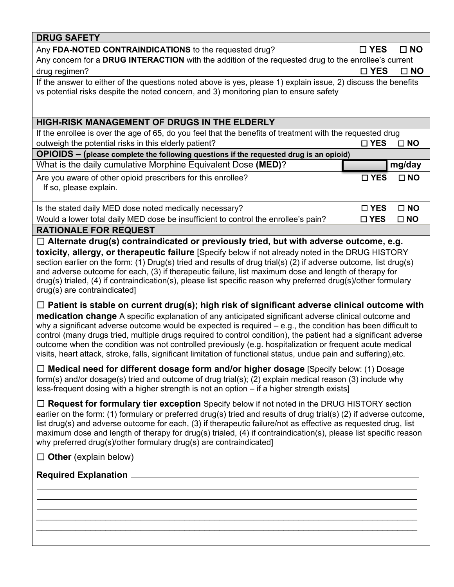| Any FDA-NOTED CONTRAINDICATIONS to the requested drug?<br>□ YES<br>$\square$ NO<br>Any concern for a DRUG INTERACTION with the addition of the requested drug to the enrollee's current<br>drug regimen?<br>$\square$ YES<br>$\square$ NO<br>If the answer to either of the questions noted above is yes, please 1) explain issue, 2) discuss the benefits<br>vs potential risks despite the noted concern, and 3) monitoring plan to ensure safety<br>HIGH-RISK MANAGEMENT OF DRUGS IN THE ELDERLY<br>If the enrollee is over the age of 65, do you feel that the benefits of treatment with the requested drug<br>outweigh the potential risks in this elderly patient?<br>$\square$ YES<br>$\square$ NO<br>OPIOIDS - (please complete the following questions if the requested drug is an opioid)<br>What is the daily cumulative Morphine Equivalent Dose (MED)?<br>mg/day<br>Are you aware of other opioid prescribers for this enrollee?<br>□ YES<br>$\square$ NO<br>If so, please explain.<br>Is the stated daily MED dose noted medically necessary?<br>$\square$ NO<br>$\square$ YES<br>Would a lower total daily MED dose be insufficient to control the enrollee's pain?<br>$\square$ NO<br>$\square$ YES<br><b>RATIONALE FOR REQUEST</b><br>$\Box$ Alternate drug(s) contraindicated or previously tried, but with adverse outcome, e.g.<br>toxicity, allergy, or therapeutic failure [Specify below if not already noted in the DRUG HISTORY<br>section earlier on the form: (1) Drug(s) tried and results of drug trial(s) (2) if adverse outcome, list drug(s)<br>and adverse outcome for each, (3) if therapeutic failure, list maximum dose and length of therapy for<br>drug(s) trialed, (4) if contraindication(s), please list specific reason why preferred drug(s)/other formulary<br>drug(s) are contraindicated]<br>$\Box$ Patient is stable on current drug(s); high risk of significant adverse clinical outcome with<br>medication change A specific explanation of any anticipated significant adverse clinical outcome and<br>why a significant adverse outcome would be expected is required $-$ e.g., the condition has been difficult to<br>control (many drugs tried, multiple drugs required to control condition), the patient had a significant adverse<br>outcome when the condition was not controlled previously (e.g. hospitalization or frequent acute medical<br>visits, heart attack, stroke, falls, significant limitation of functional status, undue pain and suffering), etc.<br>$\Box$ Medical need for different dosage form and/or higher dosage [Specify below: (1) Dosage<br>form(s) and/or dosage(s) tried and outcome of drug trial(s); (2) explain medical reason (3) include why<br>less-frequent dosing with a higher strength is not an option - if a higher strength exists]<br>$\Box$ Request for formulary tier exception Specify below if not noted in the DRUG HISTORY section<br>earlier on the form: (1) formulary or preferred drug(s) tried and results of drug trial(s) (2) if adverse outcome,<br>list drug(s) and adverse outcome for each, (3) if therapeutic failure/not as effective as requested drug, list<br>maximum dose and length of therapy for drug(s) trialed, (4) if contraindication(s), please list specific reason<br>why preferred drug(s)/other formulary drug(s) are contraindicated]<br>$\Box$ Other (explain below) | <b>DRUG SAFETY</b> |  |
|----------------------------------------------------------------------------------------------------------------------------------------------------------------------------------------------------------------------------------------------------------------------------------------------------------------------------------------------------------------------------------------------------------------------------------------------------------------------------------------------------------------------------------------------------------------------------------------------------------------------------------------------------------------------------------------------------------------------------------------------------------------------------------------------------------------------------------------------------------------------------------------------------------------------------------------------------------------------------------------------------------------------------------------------------------------------------------------------------------------------------------------------------------------------------------------------------------------------------------------------------------------------------------------------------------------------------------------------------------------------------------------------------------------------------------------------------------------------------------------------------------------------------------------------------------------------------------------------------------------------------------------------------------------------------------------------------------------------------------------------------------------------------------------------------------------------------------------------------------------------------------------------------------------------------------------------------------------------------------------------------------------------------------------------------------------------------------------------------------------------------------------------------------------------------------------------------------------------------------------------------------------------------------------------------------------------------------------------------------------------------------------------------------------------------------------------------------------------------------------------------------------------------------------------------------------------------------------------------------------------------------------------------------------------------------------------------------------------------------------------------------------------------------------------------------------------------------------------------------------------------------------------------------------------------------------------------------------------------------------------------------------------------------------------------------------------------------------------------------------------------------------------------------------------------------------------------------------------------------------------------------------------------------------------------------------------------------------------------------------------------------------------------------------|--------------------|--|
|                                                                                                                                                                                                                                                                                                                                                                                                                                                                                                                                                                                                                                                                                                                                                                                                                                                                                                                                                                                                                                                                                                                                                                                                                                                                                                                                                                                                                                                                                                                                                                                                                                                                                                                                                                                                                                                                                                                                                                                                                                                                                                                                                                                                                                                                                                                                                                                                                                                                                                                                                                                                                                                                                                                                                                                                                                                                                                                                                                                                                                                                                                                                                                                                                                                                                                                                                                                                                |                    |  |
|                                                                                                                                                                                                                                                                                                                                                                                                                                                                                                                                                                                                                                                                                                                                                                                                                                                                                                                                                                                                                                                                                                                                                                                                                                                                                                                                                                                                                                                                                                                                                                                                                                                                                                                                                                                                                                                                                                                                                                                                                                                                                                                                                                                                                                                                                                                                                                                                                                                                                                                                                                                                                                                                                                                                                                                                                                                                                                                                                                                                                                                                                                                                                                                                                                                                                                                                                                                                                |                    |  |
|                                                                                                                                                                                                                                                                                                                                                                                                                                                                                                                                                                                                                                                                                                                                                                                                                                                                                                                                                                                                                                                                                                                                                                                                                                                                                                                                                                                                                                                                                                                                                                                                                                                                                                                                                                                                                                                                                                                                                                                                                                                                                                                                                                                                                                                                                                                                                                                                                                                                                                                                                                                                                                                                                                                                                                                                                                                                                                                                                                                                                                                                                                                                                                                                                                                                                                                                                                                                                |                    |  |
|                                                                                                                                                                                                                                                                                                                                                                                                                                                                                                                                                                                                                                                                                                                                                                                                                                                                                                                                                                                                                                                                                                                                                                                                                                                                                                                                                                                                                                                                                                                                                                                                                                                                                                                                                                                                                                                                                                                                                                                                                                                                                                                                                                                                                                                                                                                                                                                                                                                                                                                                                                                                                                                                                                                                                                                                                                                                                                                                                                                                                                                                                                                                                                                                                                                                                                                                                                                                                |                    |  |
|                                                                                                                                                                                                                                                                                                                                                                                                                                                                                                                                                                                                                                                                                                                                                                                                                                                                                                                                                                                                                                                                                                                                                                                                                                                                                                                                                                                                                                                                                                                                                                                                                                                                                                                                                                                                                                                                                                                                                                                                                                                                                                                                                                                                                                                                                                                                                                                                                                                                                                                                                                                                                                                                                                                                                                                                                                                                                                                                                                                                                                                                                                                                                                                                                                                                                                                                                                                                                |                    |  |
|                                                                                                                                                                                                                                                                                                                                                                                                                                                                                                                                                                                                                                                                                                                                                                                                                                                                                                                                                                                                                                                                                                                                                                                                                                                                                                                                                                                                                                                                                                                                                                                                                                                                                                                                                                                                                                                                                                                                                                                                                                                                                                                                                                                                                                                                                                                                                                                                                                                                                                                                                                                                                                                                                                                                                                                                                                                                                                                                                                                                                                                                                                                                                                                                                                                                                                                                                                                                                |                    |  |
|                                                                                                                                                                                                                                                                                                                                                                                                                                                                                                                                                                                                                                                                                                                                                                                                                                                                                                                                                                                                                                                                                                                                                                                                                                                                                                                                                                                                                                                                                                                                                                                                                                                                                                                                                                                                                                                                                                                                                                                                                                                                                                                                                                                                                                                                                                                                                                                                                                                                                                                                                                                                                                                                                                                                                                                                                                                                                                                                                                                                                                                                                                                                                                                                                                                                                                                                                                                                                |                    |  |
|                                                                                                                                                                                                                                                                                                                                                                                                                                                                                                                                                                                                                                                                                                                                                                                                                                                                                                                                                                                                                                                                                                                                                                                                                                                                                                                                                                                                                                                                                                                                                                                                                                                                                                                                                                                                                                                                                                                                                                                                                                                                                                                                                                                                                                                                                                                                                                                                                                                                                                                                                                                                                                                                                                                                                                                                                                                                                                                                                                                                                                                                                                                                                                                                                                                                                                                                                                                                                |                    |  |
|                                                                                                                                                                                                                                                                                                                                                                                                                                                                                                                                                                                                                                                                                                                                                                                                                                                                                                                                                                                                                                                                                                                                                                                                                                                                                                                                                                                                                                                                                                                                                                                                                                                                                                                                                                                                                                                                                                                                                                                                                                                                                                                                                                                                                                                                                                                                                                                                                                                                                                                                                                                                                                                                                                                                                                                                                                                                                                                                                                                                                                                                                                                                                                                                                                                                                                                                                                                                                |                    |  |
|                                                                                                                                                                                                                                                                                                                                                                                                                                                                                                                                                                                                                                                                                                                                                                                                                                                                                                                                                                                                                                                                                                                                                                                                                                                                                                                                                                                                                                                                                                                                                                                                                                                                                                                                                                                                                                                                                                                                                                                                                                                                                                                                                                                                                                                                                                                                                                                                                                                                                                                                                                                                                                                                                                                                                                                                                                                                                                                                                                                                                                                                                                                                                                                                                                                                                                                                                                                                                |                    |  |
|                                                                                                                                                                                                                                                                                                                                                                                                                                                                                                                                                                                                                                                                                                                                                                                                                                                                                                                                                                                                                                                                                                                                                                                                                                                                                                                                                                                                                                                                                                                                                                                                                                                                                                                                                                                                                                                                                                                                                                                                                                                                                                                                                                                                                                                                                                                                                                                                                                                                                                                                                                                                                                                                                                                                                                                                                                                                                                                                                                                                                                                                                                                                                                                                                                                                                                                                                                                                                |                    |  |
|                                                                                                                                                                                                                                                                                                                                                                                                                                                                                                                                                                                                                                                                                                                                                                                                                                                                                                                                                                                                                                                                                                                                                                                                                                                                                                                                                                                                                                                                                                                                                                                                                                                                                                                                                                                                                                                                                                                                                                                                                                                                                                                                                                                                                                                                                                                                                                                                                                                                                                                                                                                                                                                                                                                                                                                                                                                                                                                                                                                                                                                                                                                                                                                                                                                                                                                                                                                                                |                    |  |
|                                                                                                                                                                                                                                                                                                                                                                                                                                                                                                                                                                                                                                                                                                                                                                                                                                                                                                                                                                                                                                                                                                                                                                                                                                                                                                                                                                                                                                                                                                                                                                                                                                                                                                                                                                                                                                                                                                                                                                                                                                                                                                                                                                                                                                                                                                                                                                                                                                                                                                                                                                                                                                                                                                                                                                                                                                                                                                                                                                                                                                                                                                                                                                                                                                                                                                                                                                                                                |                    |  |
|                                                                                                                                                                                                                                                                                                                                                                                                                                                                                                                                                                                                                                                                                                                                                                                                                                                                                                                                                                                                                                                                                                                                                                                                                                                                                                                                                                                                                                                                                                                                                                                                                                                                                                                                                                                                                                                                                                                                                                                                                                                                                                                                                                                                                                                                                                                                                                                                                                                                                                                                                                                                                                                                                                                                                                                                                                                                                                                                                                                                                                                                                                                                                                                                                                                                                                                                                                                                                |                    |  |
|                                                                                                                                                                                                                                                                                                                                                                                                                                                                                                                                                                                                                                                                                                                                                                                                                                                                                                                                                                                                                                                                                                                                                                                                                                                                                                                                                                                                                                                                                                                                                                                                                                                                                                                                                                                                                                                                                                                                                                                                                                                                                                                                                                                                                                                                                                                                                                                                                                                                                                                                                                                                                                                                                                                                                                                                                                                                                                                                                                                                                                                                                                                                                                                                                                                                                                                                                                                                                |                    |  |
|                                                                                                                                                                                                                                                                                                                                                                                                                                                                                                                                                                                                                                                                                                                                                                                                                                                                                                                                                                                                                                                                                                                                                                                                                                                                                                                                                                                                                                                                                                                                                                                                                                                                                                                                                                                                                                                                                                                                                                                                                                                                                                                                                                                                                                                                                                                                                                                                                                                                                                                                                                                                                                                                                                                                                                                                                                                                                                                                                                                                                                                                                                                                                                                                                                                                                                                                                                                                                |                    |  |
|                                                                                                                                                                                                                                                                                                                                                                                                                                                                                                                                                                                                                                                                                                                                                                                                                                                                                                                                                                                                                                                                                                                                                                                                                                                                                                                                                                                                                                                                                                                                                                                                                                                                                                                                                                                                                                                                                                                                                                                                                                                                                                                                                                                                                                                                                                                                                                                                                                                                                                                                                                                                                                                                                                                                                                                                                                                                                                                                                                                                                                                                                                                                                                                                                                                                                                                                                                                                                |                    |  |
|                                                                                                                                                                                                                                                                                                                                                                                                                                                                                                                                                                                                                                                                                                                                                                                                                                                                                                                                                                                                                                                                                                                                                                                                                                                                                                                                                                                                                                                                                                                                                                                                                                                                                                                                                                                                                                                                                                                                                                                                                                                                                                                                                                                                                                                                                                                                                                                                                                                                                                                                                                                                                                                                                                                                                                                                                                                                                                                                                                                                                                                                                                                                                                                                                                                                                                                                                                                                                |                    |  |
|                                                                                                                                                                                                                                                                                                                                                                                                                                                                                                                                                                                                                                                                                                                                                                                                                                                                                                                                                                                                                                                                                                                                                                                                                                                                                                                                                                                                                                                                                                                                                                                                                                                                                                                                                                                                                                                                                                                                                                                                                                                                                                                                                                                                                                                                                                                                                                                                                                                                                                                                                                                                                                                                                                                                                                                                                                                                                                                                                                                                                                                                                                                                                                                                                                                                                                                                                                                                                |                    |  |
|                                                                                                                                                                                                                                                                                                                                                                                                                                                                                                                                                                                                                                                                                                                                                                                                                                                                                                                                                                                                                                                                                                                                                                                                                                                                                                                                                                                                                                                                                                                                                                                                                                                                                                                                                                                                                                                                                                                                                                                                                                                                                                                                                                                                                                                                                                                                                                                                                                                                                                                                                                                                                                                                                                                                                                                                                                                                                                                                                                                                                                                                                                                                                                                                                                                                                                                                                                                                                |                    |  |
|                                                                                                                                                                                                                                                                                                                                                                                                                                                                                                                                                                                                                                                                                                                                                                                                                                                                                                                                                                                                                                                                                                                                                                                                                                                                                                                                                                                                                                                                                                                                                                                                                                                                                                                                                                                                                                                                                                                                                                                                                                                                                                                                                                                                                                                                                                                                                                                                                                                                                                                                                                                                                                                                                                                                                                                                                                                                                                                                                                                                                                                                                                                                                                                                                                                                                                                                                                                                                |                    |  |
|                                                                                                                                                                                                                                                                                                                                                                                                                                                                                                                                                                                                                                                                                                                                                                                                                                                                                                                                                                                                                                                                                                                                                                                                                                                                                                                                                                                                                                                                                                                                                                                                                                                                                                                                                                                                                                                                                                                                                                                                                                                                                                                                                                                                                                                                                                                                                                                                                                                                                                                                                                                                                                                                                                                                                                                                                                                                                                                                                                                                                                                                                                                                                                                                                                                                                                                                                                                                                |                    |  |
|                                                                                                                                                                                                                                                                                                                                                                                                                                                                                                                                                                                                                                                                                                                                                                                                                                                                                                                                                                                                                                                                                                                                                                                                                                                                                                                                                                                                                                                                                                                                                                                                                                                                                                                                                                                                                                                                                                                                                                                                                                                                                                                                                                                                                                                                                                                                                                                                                                                                                                                                                                                                                                                                                                                                                                                                                                                                                                                                                                                                                                                                                                                                                                                                                                                                                                                                                                                                                |                    |  |
|                                                                                                                                                                                                                                                                                                                                                                                                                                                                                                                                                                                                                                                                                                                                                                                                                                                                                                                                                                                                                                                                                                                                                                                                                                                                                                                                                                                                                                                                                                                                                                                                                                                                                                                                                                                                                                                                                                                                                                                                                                                                                                                                                                                                                                                                                                                                                                                                                                                                                                                                                                                                                                                                                                                                                                                                                                                                                                                                                                                                                                                                                                                                                                                                                                                                                                                                                                                                                |                    |  |
|                                                                                                                                                                                                                                                                                                                                                                                                                                                                                                                                                                                                                                                                                                                                                                                                                                                                                                                                                                                                                                                                                                                                                                                                                                                                                                                                                                                                                                                                                                                                                                                                                                                                                                                                                                                                                                                                                                                                                                                                                                                                                                                                                                                                                                                                                                                                                                                                                                                                                                                                                                                                                                                                                                                                                                                                                                                                                                                                                                                                                                                                                                                                                                                                                                                                                                                                                                                                                |                    |  |
|                                                                                                                                                                                                                                                                                                                                                                                                                                                                                                                                                                                                                                                                                                                                                                                                                                                                                                                                                                                                                                                                                                                                                                                                                                                                                                                                                                                                                                                                                                                                                                                                                                                                                                                                                                                                                                                                                                                                                                                                                                                                                                                                                                                                                                                                                                                                                                                                                                                                                                                                                                                                                                                                                                                                                                                                                                                                                                                                                                                                                                                                                                                                                                                                                                                                                                                                                                                                                |                    |  |
|                                                                                                                                                                                                                                                                                                                                                                                                                                                                                                                                                                                                                                                                                                                                                                                                                                                                                                                                                                                                                                                                                                                                                                                                                                                                                                                                                                                                                                                                                                                                                                                                                                                                                                                                                                                                                                                                                                                                                                                                                                                                                                                                                                                                                                                                                                                                                                                                                                                                                                                                                                                                                                                                                                                                                                                                                                                                                                                                                                                                                                                                                                                                                                                                                                                                                                                                                                                                                |                    |  |